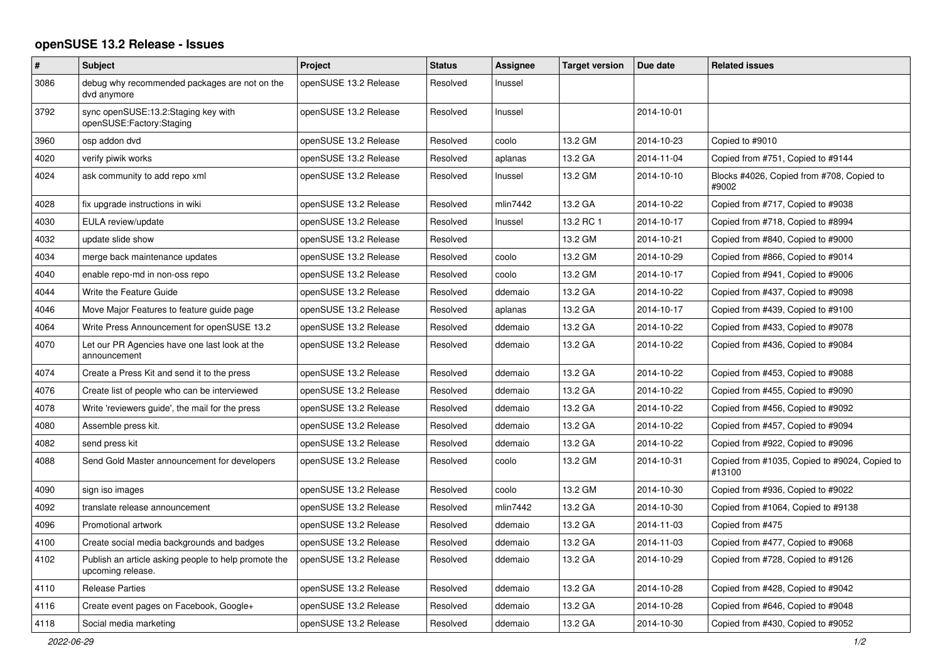## **openSUSE 13.2 Release - Issues**

| $\#$ | <b>Subject</b>                                                            | Project               | <b>Status</b> | Assignee | <b>Target version</b> | Due date   | <b>Related issues</b>                                   |
|------|---------------------------------------------------------------------------|-----------------------|---------------|----------|-----------------------|------------|---------------------------------------------------------|
| 3086 | debug why recommended packages are not on the<br>dvd anymore              | openSUSE 13.2 Release | Resolved      | Inussel  |                       |            |                                                         |
| 3792 | sync openSUSE:13.2:Staging key with<br>openSUSE:Factory:Staging           | openSUSE 13.2 Release | Resolved      | Inussel  |                       | 2014-10-01 |                                                         |
| 3960 | osp addon dvd                                                             | openSUSE 13.2 Release | Resolved      | coolo    | 13.2 GM               | 2014-10-23 | Copied to #9010                                         |
| 4020 | verify piwik works                                                        | openSUSE 13.2 Release | Resolved      | aplanas  | 13.2 GA               | 2014-11-04 | Copied from #751, Copied to #9144                       |
| 4024 | ask community to add repo xml                                             | openSUSE 13.2 Release | Resolved      | Inussel  | 13.2 GM               | 2014-10-10 | Blocks #4026, Copied from #708, Copied to<br>#9002      |
| 4028 | fix upgrade instructions in wiki                                          | openSUSE 13.2 Release | Resolved      | mlin7442 | 13.2 GA               | 2014-10-22 | Copied from #717, Copied to #9038                       |
| 4030 | EULA review/update                                                        | openSUSE 13.2 Release | Resolved      | Inussel  | 13.2 RC 1             | 2014-10-17 | Copied from #718, Copied to #8994                       |
| 4032 | update slide show                                                         | openSUSE 13.2 Release | Resolved      |          | 13.2 GM               | 2014-10-21 | Copied from #840, Copied to #9000                       |
| 4034 | merge back maintenance updates                                            | openSUSE 13.2 Release | Resolved      | coolo    | 13.2 GM               | 2014-10-29 | Copied from #866, Copied to #9014                       |
| 4040 | enable repo-md in non-oss repo                                            | openSUSE 13.2 Release | Resolved      | coolo    | 13.2 GM               | 2014-10-17 | Copied from #941, Copied to #9006                       |
| 4044 | Write the Feature Guide                                                   | openSUSE 13.2 Release | Resolved      | ddemaio  | 13.2 GA               | 2014-10-22 | Copied from #437, Copied to #9098                       |
| 4046 | Move Major Features to feature guide page                                 | openSUSE 13.2 Release | Resolved      | aplanas  | 13.2 GA               | 2014-10-17 | Copied from #439, Copied to #9100                       |
| 4064 | Write Press Announcement for openSUSE 13.2                                | openSUSE 13.2 Release | Resolved      | ddemaio  | 13.2 GA               | 2014-10-22 | Copied from #433, Copied to #9078                       |
| 4070 | Let our PR Agencies have one last look at the<br>announcement             | openSUSE 13.2 Release | Resolved      | ddemaio  | 13.2 GA               | 2014-10-22 | Copied from #436, Copied to #9084                       |
| 4074 | Create a Press Kit and send it to the press                               | openSUSE 13.2 Release | Resolved      | ddemaio  | 13.2 GA               | 2014-10-22 | Copied from #453, Copied to #9088                       |
| 4076 | Create list of people who can be interviewed                              | openSUSE 13.2 Release | Resolved      | ddemaio  | 13.2 GA               | 2014-10-22 | Copied from #455, Copied to #9090                       |
| 4078 | Write 'reviewers guide', the mail for the press                           | openSUSE 13.2 Release | Resolved      | ddemaio  | 13.2 GA               | 2014-10-22 | Copied from #456, Copied to #9092                       |
| 4080 | Assemble press kit.                                                       | openSUSE 13.2 Release | Resolved      | ddemaio  | 13.2 GA               | 2014-10-22 | Copied from #457, Copied to #9094                       |
| 4082 | send press kit                                                            | openSUSE 13.2 Release | Resolved      | ddemaio  | 13.2 GA               | 2014-10-22 | Copied from #922, Copied to #9096                       |
| 4088 | Send Gold Master announcement for developers                              | openSUSE 13.2 Release | Resolved      | coolo    | 13.2 GM               | 2014-10-31 | Copied from #1035, Copied to #9024, Copied to<br>#13100 |
| 4090 | sign iso images                                                           | openSUSE 13.2 Release | Resolved      | coolo    | 13.2 GM               | 2014-10-30 | Copied from #936, Copied to #9022                       |
| 4092 | translate release announcement                                            | openSUSE 13.2 Release | Resolved      | mlin7442 | 13.2 GA               | 2014-10-30 | Copied from #1064, Copied to #9138                      |
| 4096 | Promotional artwork                                                       | openSUSE 13.2 Release | Resolved      | ddemaio  | 13.2 GA               | 2014-11-03 | Copied from #475                                        |
| 4100 | Create social media backgrounds and badges                                | openSUSE 13.2 Release | Resolved      | ddemaio  | 13.2 GA               | 2014-11-03 | Copied from #477, Copied to #9068                       |
| 4102 | Publish an article asking people to help promote the<br>upcoming release. | openSUSE 13.2 Release | Resolved      | ddemaio  | 13.2 GA               | 2014-10-29 | Copied from #728, Copied to #9126                       |
| 4110 | <b>Release Parties</b>                                                    | openSUSE 13.2 Release | Resolved      | ddemaio  | 13.2 GA               | 2014-10-28 | Copied from #428, Copied to #9042                       |
| 4116 | Create event pages on Facebook, Google+                                   | openSUSE 13.2 Release | Resolved      | ddemaio  | 13.2 GA               | 2014-10-28 | Copied from #646, Copied to #9048                       |
| 4118 | Social media marketing                                                    | openSUSE 13.2 Release | Resolved      | ddemaio  | 13.2 GA               | 2014-10-30 | Copied from #430, Copied to #9052                       |